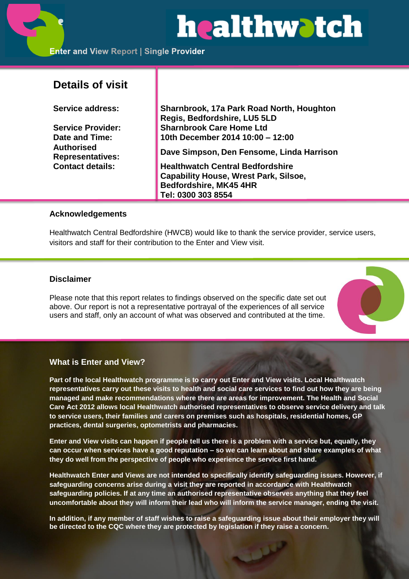# **healthwatch**

# **Details of visit**

**Authorised** 

**Service address: Sharnbrook, 17a Park Road North, Houghton Regis, Bedfordshire, LU5 5LD Service Provider: Sharnbrook Care Home Ltd Date and Time: 10th December 2014 10:00 – 12:00**

**Representatives: Dave Simpson, Den Fensome, Linda Harrison**

**Contact details: Healthwatch Central Bedfordshire Capability House, Wrest Park, Silsoe, Bedfordshire, MK45 4HR Tel: 0300 303 8554**

#### **Acknowledgements**

Healthwatch Central Bedfordshire (HWCB) would like to thank the service provider, service users, visitors and staff for their contribution to the Enter and View visit.

## **Disclaimer**

Please note that this report relates to findings observed on the specific date set out above. Our report is not a representative portrayal of the experiences of all service users and staff, only an account of what was observed and contributed at the time.



#### **What is Enter and View?**

**Part of the local Healthwatch programme is to carry out Enter and View visits. Local Healthwatch representatives carry out these visits to health and social care services to find out how they are being managed and make recommendations where there are areas for improvement. The Health and Social Care Act 2012 allows local Healthwatch authorised representatives to observe service delivery and talk to service users, their families and carers on premises such as hospitals, residential homes, GP practices, dental surgeries, optometrists and pharmacies.** 

**Enter and View visits can happen if people tell us there is a problem with a service but, equally, they can occur when services have a good reputation – so we can learn about and share examples of what they do well from the perspective of people who experience the service first hand.**

**Healthwatch Enter and Views are not intended to specifically identify safeguarding issues. However, if safeguarding concerns arise during a visit they are reported in accordance with Healthwatch safeguarding policies. If at any time an authorised representative observes anything that they feel uncomfortable about they will inform their lead who will inform the service manager, ending the visit.** 

**In addition, if any member of staff wishes to raise a safeguarding issue about their employer they will be directed to the CQC where they are protected by legislation if they raise a concern.**

للمل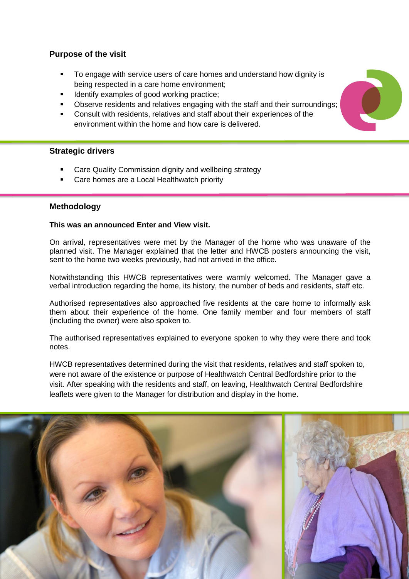# **Purpose of the visit**

- To engage with service users of care homes and understand how dignity is being respected in a care home environment;
- Identify examples of good working practice;
- Observe residents and relatives engaging with the staff and their surroundings;
- Consult with residents, relatives and staff about their experiences of the environment within the home and how care is delivered.

# **Strategic drivers**

- Care Quality Commission dignity and wellbeing strategy
- Care homes are a Local Healthwatch priority

## **Methodology**

#### **This was an announced Enter and View visit.**

On arrival, representatives were met by the Manager of the home who was unaware of the planned visit. The Manager explained that the letter and HWCB posters announcing the visit, sent to the home two weeks previously, had not arrived in the office.

Notwithstanding this HWCB representatives were warmly welcomed. The Manager gave a verbal introduction regarding the home, its history, the number of beds and residents, staff etc.

Authorised representatives also approached five residents at the care home to informally ask them about their experience of the home. One family member and four members of staff (including the owner) were also spoken to.

The authorised representatives explained to everyone spoken to why they were there and took notes.

HWCB representatives determined during the visit that residents, relatives and staff spoken to, were not aware of the existence or purpose of Healthwatch Central Bedfordshire prior to the visit. After speaking with the residents and staff, on leaving, Healthwatch Central Bedfordshire leaflets were given to the Manager for distribution and display in the home.



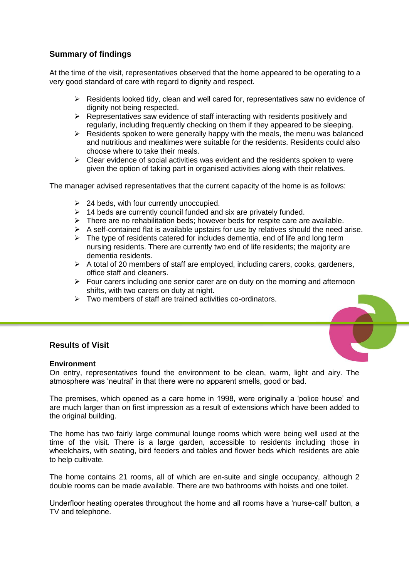# **Summary of findings**

At the time of the visit, representatives observed that the home appeared to be operating to a very good standard of care with regard to dignity and respect.

- $\triangleright$  Residents looked tidy, clean and well cared for, representatives saw no evidence of dignity not being respected.
- $\triangleright$  Representatives saw evidence of staff interacting with residents positively and regularly, including frequently checking on them if they appeared to be sleeping.
- $\triangleright$  Residents spoken to were generally happy with the meals, the menu was balanced and nutritious and mealtimes were suitable for the residents. Residents could also choose where to take their meals.
- $\triangleright$  Clear evidence of social activities was evident and the residents spoken to were given the option of taking part in organised activities along with their relatives.

The manager advised representatives that the current capacity of the home is as follows:

- $\geq$  24 beds, with four currently unoccupied.
- $\triangleright$  14 beds are currently council funded and six are privately funded.
- $\triangleright$  There are no rehabilitation beds; however beds for respite care are available.
- $\triangleright$  A self-contained flat is available upstairs for use by relatives should the need arise.
- $\triangleright$  The type of residents catered for includes dementia, end of life and long term nursing residents. There are currently two end of life residents; the majority are dementia residents.
- $\triangleright$  A total of 20 members of staff are employed, including carers, cooks, gardeners, office staff and cleaners.
- $\triangleright$  Four carers including one senior carer are on duty on the morning and afternoon shifts, with two carers on duty at night.
- $\triangleright$  Two members of staff are trained activities co-ordinators.

# **Results of Visit**

#### **Environment**

On entry, representatives found the environment to be clean, warm, light and airy. The atmosphere was 'neutral' in that there were no apparent smells, good or bad.

The premises, which opened as a care home in 1998, were originally a 'police house' and are much larger than on first impression as a result of extensions which have been added to the original building.

The home has two fairly large communal lounge rooms which were being well used at the time of the visit. There is a large garden, accessible to residents including those in wheelchairs, with seating, bird feeders and tables and flower beds which residents are able to help cultivate.

The home contains 21 rooms, all of which are en-suite and single occupancy, although 2 double rooms can be made available. There are two bathrooms with hoists and one toilet.

Underfloor heating operates throughout the home and all rooms have a 'nurse-call' button, a TV and telephone.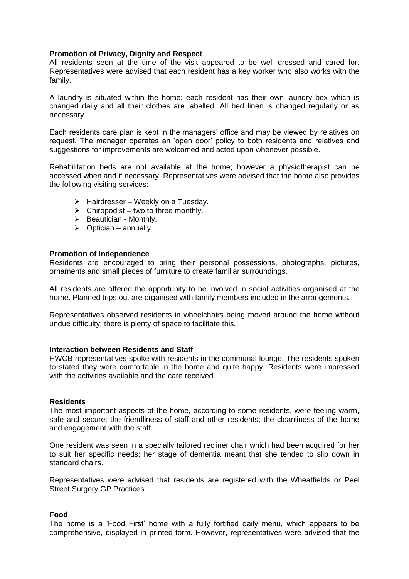#### **Promotion of Privacy, Dignity and Respect**

All residents seen at the time of the visit appeared to be well dressed and cared for. Representatives were advised that each resident has a key worker who also works with the family.

A laundry is situated within the home; each resident has their own laundry box which is changed daily and all their clothes are labelled. All bed linen is changed regularly or as necessary.

Each residents care plan is kept in the managers' office and may be viewed by relatives on request. The manager operates an 'open door' policy to both residents and relatives and suggestions for improvements are welcomed and acted upon whenever possible.

Rehabilitation beds are not available at the home; however a physiotherapist can be accessed when and if necessary. Representatives were advised that the home also provides the following visiting services:

- $\triangleright$  Hairdresser Weekly on a Tuesday.
- $\triangleright$  Chiropodist two to three monthly.
- $\triangleright$  Beautician Monthly.
- $\triangleright$  Optician annually.

#### **Promotion of Independence**

Residents are encouraged to bring their personal possessions, photographs, pictures, ornaments and small pieces of furniture to create familiar surroundings.

All residents are offered the opportunity to be involved in social activities organised at the home. Planned trips out are organised with family members included in the arrangements.

Representatives observed residents in wheelchairs being moved around the home without undue difficulty; there is plenty of space to facilitate this.

#### **Interaction between Residents and Staff**

HWCB representatives spoke with residents in the communal lounge. The residents spoken to stated they were comfortable in the home and quite happy. Residents were impressed with the activities available and the care received.

#### **Residents**

The most important aspects of the home, according to some residents, were feeling warm, safe and secure; the friendliness of staff and other residents; the cleanliness of the home and engagement with the staff.

One resident was seen in a specially tailored recliner chair which had been acquired for her to suit her specific needs; her stage of dementia meant that she tended to slip down in standard chairs.

Representatives were advised that residents are registered with the Wheatfields or Peel Street Surgery GP Practices.

#### **Food**

The home is a 'Food First' home with a fully fortified daily menu, which appears to be comprehensive, displayed in printed form. However, representatives were advised that the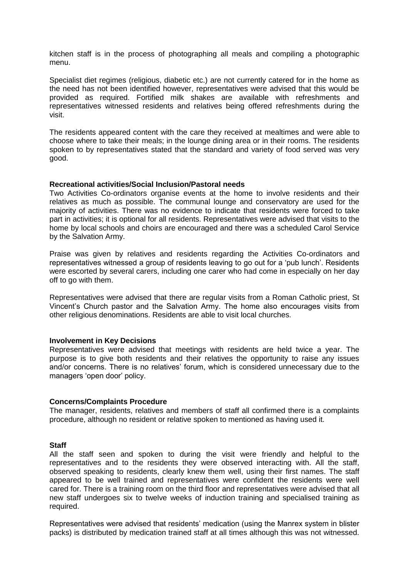kitchen staff is in the process of photographing all meals and compiling a photographic menu.

Specialist diet regimes (religious, diabetic etc.) are not currently catered for in the home as the need has not been identified however, representatives were advised that this would be provided as required. Fortified milk shakes are available with refreshments and representatives witnessed residents and relatives being offered refreshments during the visit.

The residents appeared content with the care they received at mealtimes and were able to choose where to take their meals; in the lounge dining area or in their rooms. The residents spoken to by representatives stated that the standard and variety of food served was very good.

#### **Recreational activities/Social Inclusion/Pastoral needs**

Two Activities Co-ordinators organise events at the home to involve residents and their relatives as much as possible. The communal lounge and conservatory are used for the majority of activities. There was no evidence to indicate that residents were forced to take part in activities; it is optional for all residents. Representatives were advised that visits to the home by local schools and choirs are encouraged and there was a scheduled Carol Service by the Salvation Army.

Praise was given by relatives and residents regarding the Activities Co-ordinators and representatives witnessed a group of residents leaving to go out for a 'pub lunch'. Residents were escorted by several carers, including one carer who had come in especially on her day off to go with them.

Representatives were advised that there are regular visits from a Roman Catholic priest, St Vincent's Church pastor and the Salvation Army. The home also encourages visits from other religious denominations. Residents are able to visit local churches.

#### **Involvement in Key Decisions**

Representatives were advised that meetings with residents are held twice a year. The purpose is to give both residents and their relatives the opportunity to raise any issues and/or concerns. There is no relatives' forum, which is considered unnecessary due to the managers 'open door' policy.

#### **Concerns/Complaints Procedure**

The manager, residents, relatives and members of staff all confirmed there is a complaints procedure, although no resident or relative spoken to mentioned as having used it.

#### **Staff**

All the staff seen and spoken to during the visit were friendly and helpful to the representatives and to the residents they were observed interacting with. All the staff, observed speaking to residents, clearly knew them well, using their first names. The staff appeared to be well trained and representatives were confident the residents were well cared for. There is a training room on the third floor and representatives were advised that all new staff undergoes six to twelve weeks of induction training and specialised training as required.

Representatives were advised that residents' medication (using the Manrex system in blister packs) is distributed by medication trained staff at all times although this was not witnessed.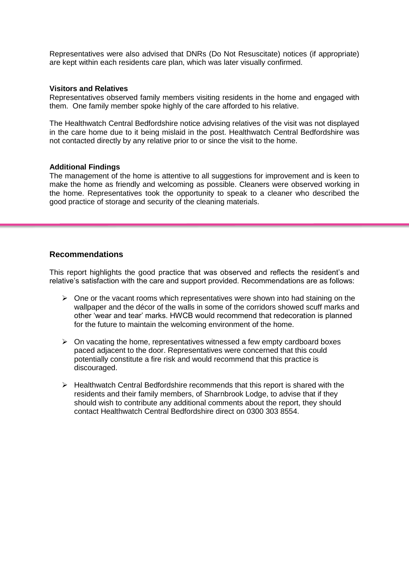Representatives were also advised that DNRs (Do Not Resuscitate) notices (if appropriate) are kept within each residents care plan, which was later visually confirmed.

#### **Visitors and Relatives**

Representatives observed family members visiting residents in the home and engaged with them. One family member spoke highly of the care afforded to his relative.

The Healthwatch Central Bedfordshire notice advising relatives of the visit was not displayed in the care home due to it being mislaid in the post. Healthwatch Central Bedfordshire was not contacted directly by any relative prior to or since the visit to the home.

#### **Additional Findings**

The management of the home is attentive to all suggestions for improvement and is keen to make the home as friendly and welcoming as possible. Cleaners were observed working in the home. Representatives took the opportunity to speak to a cleaner who described the good practice of storage and security of the cleaning materials.

#### **Recommendations**

This report highlights the good practice that was observed and reflects the resident's and relative's satisfaction with the care and support provided. Recommendations are as follows:

- $\triangleright$  One or the vacant rooms which representatives were shown into had staining on the wallpaper and the décor of the walls in some of the corridors showed scuff marks and other 'wear and tear' marks. HWCB would recommend that redecoration is planned for the future to maintain the welcoming environment of the home.
- $\triangleright$  On vacating the home, representatives witnessed a few empty cardboard boxes paced adjacent to the door. Representatives were concerned that this could potentially constitute a fire risk and would recommend that this practice is discouraged.
- $\triangleright$  Healthwatch Central Bedfordshire recommends that this report is shared with the residents and their family members, of Sharnbrook Lodge, to advise that if they should wish to contribute any additional comments about the report, they should contact Healthwatch Central Bedfordshire direct on 0300 303 8554.